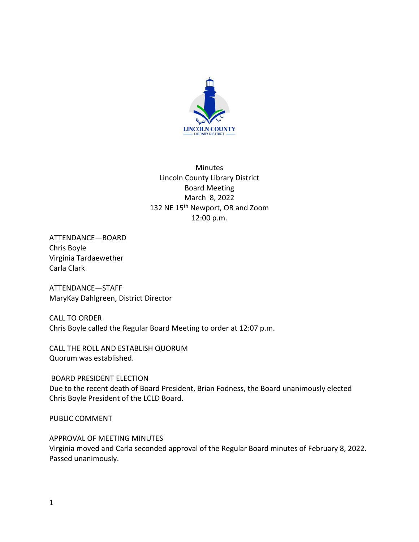

Minutes Lincoln County Library District Board Meeting March 8, 2022 132 NE 15<sup>th</sup> Newport, OR and Zoom 12:00 p.m.

ATTENDANCE—BOARD Chris Boyle Virginia Tardaewether Carla Clark

ATTENDANCE—STAFF MaryKay Dahlgreen, District Director

CALL TO ORDER Chris Boyle called the Regular Board Meeting to order at 12:07 p.m.

CALL THE ROLL AND ESTABLISH QUORUM Quorum was established.

BOARD PRESIDENT ELECTION Due to the recent death of Board President, Brian Fodness, the Board unanimously elected Chris Boyle President of the LCLD Board.

PUBLIC COMMENT

APPROVAL OF MEETING MINUTES Virginia moved and Carla seconded approval of the Regular Board minutes of February 8, 2022. Passed unanimously.